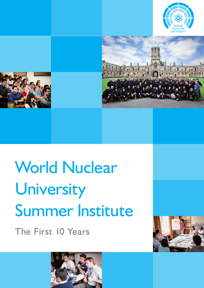





# World Nuclear University Summer Institute

The First 10 Years



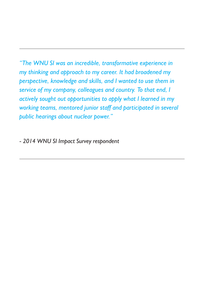*"The WNU SI was an incredible, transformative experience in my thinking and approach to my career. It had broadened my perspective, knowledge and skills, and I wanted to use them in service of my company, colleagues and country. To that end, I actively sought out opportunities to apply what I learned in my working teams, mentored junior staff and participated in several public hearings about nuclear power."*

*- 2014 WNU SI Impact Survey respondent*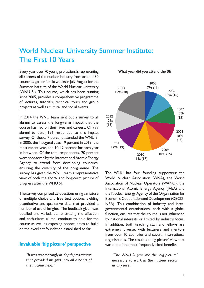# World Nuclear University Summer Institute: The First 10 Years

Every year over 70 young professionals representing all corners of the nuclear industry from around 30 countries gather for six weeks in July-August for the Summer Institute of the World Nuclear University (WNU SI). This course, which has been running since 2005, provides a comprehensive programme of lectures, tutorials, technical tours and group projects as well as cultural and social events.

In 2014 the WNU team sent out a survey to all alumni to assess the long-term impact that the course has had on their lives and careers. Of 799 alumni to date, 156 responded to this impact survey. Of these, 7 percent attended the WNU SI in 2005, the inaugural year, 19 percent in 2013, the most recent year, and 10-12 percent for each year in between. Of the total respondents, 20 percent were sponsored by the International Atomic Energy Agency to attend from developing countries, ensuring the diversity of the programme. The survey has given the WNU team a representative view of both the short- and long-term picture of progress after the WNU SI.

The survey comprised 23 questions using a mixture of multiple choice and free text options, yielding quantitative and qualitative data that provided a number of useful insights. The feedback given was detailed and varied, demonstrating the affection and enthusiasm alumni continue to hold for the course as well as exposing opportunities to build on the excellent foundation established so far.

#### **Invaluable 'big picture' perspective**

*"It was an amazingly in-depth programme that provided insights into all aspects of the nuclear field."*

2005 7% (11) 2006 10% (16) 2007 10% (15) 2008 10% (15) 2009 2010 10% (15) 11% (17) 2011 12% (19) 2012 12% (18) 2013 19% (30)

**What year did you attend the SI?**

The WNU has four founding supporters: the World Nuclear Association (WNA), the World Association of Nuclear Operators (WANO), the International Atomic Energy Agency (IAEA) and the Nuclear Energy Agency of the Organization for Economic Cooperation and Development (OECD-NEA). This combination of industry and intergovernmental organisations, each with a global function, ensures that the course is not influenced by national interests or limited by industry focus. In addition, both teaching staff and fellows are extremely diverse, with lecturers and mentors from over 10 countries and several international organisations. The result is a 'big picture' view that was one of the most frequently cited benefits:

*"The WNU SI gave me the 'big picture' necessary to work in the nuclear sector at any level."*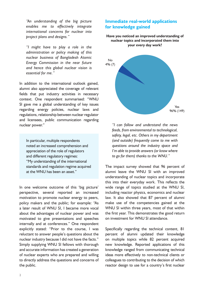*"An understanding of the big picture enables me to effectively integrate international concerns for nuclear into project plans and designs."*

*"I might have to play a role in the administration or policy making of this nuclear business of Bangladesh Atomic Energy Commission in the near future and hence this global nuclear vision is essential for me."*

In addition to the international outlook gained, alumni also appreciated the coverage of relevant fields that put industry activities in necessary context. One respondent summarised: "WNU SI gave me a global understanding of key issues regarding energy policies, nuclear laws and regulations, relationship between nuclear regulator and licensees, public communication regarding nuclear power."

In particular, multiple respondents noted an increased comprehension and appreciation of the role of regulators and different regulatory regimes: "My understanding of the international standards and regulation regime acquired at the WNU has been an asset."

In one welcome outcome of this 'big picture' perspective, several reported an increased motivation to promote nuclear energy to peers, policy makers and the public; for example: "As a later result of WNU SI, I became more vocal about the advantages of nuclear power and was motivated to give presentations and speeches internally and at conferences." One respondent explicitly stated: "Prior to the course, I was reluctant to answer people's questions about the nuclear industry because I did not have the facts." Simply supplying WNU SI fellows with thorough and accurate information has created a generation of nuclear experts who are prepared and willing to directly address the questions and concerns of the public.

## **Immediate real-world applications for knowledge gained**

**Have you noticed an improved understanding of nuclear topics and incorporated them into your every day work?**



*"I can follow and understand the news feeds, from environmental to technological, safety, legal, etc. Others in my department (and outside) frequently come to me with questions around the industry space and I'm able to provide answers (or know where to go for them) thanks to the WNU."* 

The impact survey showed that 96 percent of alumni leave the WNU SI with an improved understanding of nuclear topics and incorporate this into their everyday work. This reflects the wide range of topics studied at the WNU SI, including reactor physics, economics and nuclear law. It also showed that 87 percent of alumni make use of the competencies gained at the WNU SI within three years, most of that within the first year. This demonstrates the good return on investment for WNU SI attendance.

Specifically regarding the technical content, 81 percent of alumni updated their knowledge on multiple topics while 82 percent acquired new knowledge. Reported applications of this knowledge ranged from communicating technical ideas more effectively to non-technical clients or colleagues to contributing to the decision of which reactor design to use for a country's first nuclear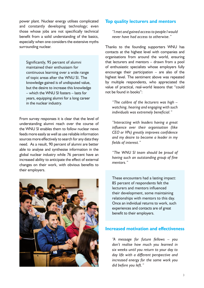power plant. Nuclear energy utilises complicated and constantly developing technology; even those whose jobs are not specifically technical benefit from a solid understanding of the basics, especially when one considers the extensive myths surrounding nuclear.

Significantly, 95 percent of alumni maintained their enthusiasm for continuous learning over a wide range of topic areas after the WNU SI. The knowledge gained is of undisputed value, but the desire to increase this knowledge – which the WNU SI fosters – lasts for years, equipping alumni for a long career in the nuclear industry.

From survey responses it is clear that the level of understanding alumni reach over the course of the WNU SI enables them to follow nuclear news feeds more easily as well as use reliable information sources more effectively to search for any data they need. As a result, 90 percent of alumni are better able to analyse and synthesise information in the global nuclear industry while 76 percent have an increased ability to anticipate the effect of external changes on their work, with obvious benefits to their employers.



#### **Top quality lecturers and mentors**

*"I met and gained access to people I would never have had access to otherwise."*

Thanks to the founding supporters WNU has contacts at the highest level with companies and organisations from around the world, ensuring that lecturers and mentors – drawn from a pool of enthusiastic specialists whose employers fully encourage their participation – are also of the highest level. The sentiment above was repeated by multiple respondents, who appreciated the value of practical, real-world lessons that "could not be found in books":

*"The calibre of the lecturers was high – watching, hearing and engaging with such individuals was extremely beneficial."*

*"Interacting with leaders having a great influence over their organisation (like CEO or VPs) greatly improves confidence and my desire to become a leader in my fields of interest."*

*"The WNU SI team should be proud of having such an outstanding group of fine mentors."*

These encounters had a lasting impact: 85 percent of respondents felt the lecturers and mentors influenced their development, some maintaining relationships with mentors to this day. Once an individual returns to work, such experiences and contacts are of great benefit to their employers.

#### **Increased motivation and effectiveness**

*"A message for future fellows – you don't realise how much you learned in six weeks until you return to your day to day life with a different perspective and increased energy for the same work you did before you left."*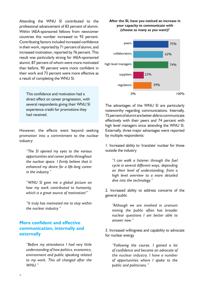Attending the WNU SI contributed to the professional advancement of 83 percent of alumni. Within IAEA-sponsored fellows from newcomer countries this number increased to 93 percent. Contributing factors included increased confidence in their work, reported by 71 percent of alumni, and increased motivation, reported by 76 percent. This result was particularly strong for IAEA-sponsored alumni, 87 percent of whom were more motivated than before, 90 percent were more confident in their work and 73 percent were more effective as a result of completing the WNU SI.

This confidence and motivation had a direct effect on career progression, with several respondents giving their WNU SI experience credit for promotions they had received.

However, the effects went beyond seeking promotion into a commitment to the nuclear industry:

*"The SI opened my eyes to the various opportunities and career paths throughout the nuclear space. I firmly believe that it enhanced my desire for a life-long career in the industry."*

*"WNU SI gave me a global picture on how my work contributed to humanity, which is a great source of motivation!"*

*"It truly has motivated me to stay within the nuclear industry."*

# **More confident and effective communication, internally and externally**

*"Before my attendance I had very little understanding of how politics, economics, environment and public speaking related to my work. This all changed after the WNU."*

#### **After the SI, have you noticed an increase in your capacity to communicate with (choose as many as you want)?**



The advantages of the WNU SI are particularly noteworthy regarding communications. Internally, 75 percent of alumni are better able to communicate effectively with their peers and 74 percent with high level managers since attending the WNU SI. Externally, three major advantages were reported by multiple respondents:

1. Increased ability to 'translate' nuclear for those outside the industry

*"I can walk a listener through the fuel cycle in several different ways, depending on their level of understanding, from a high level overview to a more detailed dive into the technology."*

2. Increased ability to address concerns of the general public

*"Although we are involved in uranium mining the public often has broader nuclear questions I am better able to answer now."* 

3. Increased willingness and capability to advocate for nuclear energy

*"Following the course, I gained a lot of confidence and became an advocate of the nuclear industry. I have a number of opportunities where I spoke to the public and politicians."*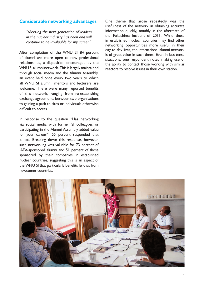## **Considerable networking advantages**

*"Meeting the next generation of leaders in the nuclear industry has been and will continue to be invaluable for my career."*

After completion of the WNU SI 84 percent of alumni are more open to new professional relationships, a disposition encouraged by the WNU SI alumni network. This is largely maintained through social media and the Alumni Assembly, an event held once every two years to which all WNU SI alumni, mentors and lecturers are welcome. There were many reported benefits of this network, ranging from re-establishing exchange agreements between two organisations to gaining a path to sites or individuals otherwise difficult to access.

In response to the question "Has networking via social media with former SI colleagues or participating in the Alumni Assembly added value for your career?" 55 percent responded that it had. Breaking down this response, however, such networking was valuable for 73 percent of IAEA-sponsored alumni and 51 percent of those sponsored by their companies in established nuclear countries, suggesting this is an aspect of the WNU SI that particularly benefits fellows from newcomer countries.

One theme that arose repeatedly was the usefulness of the network in obtaining accurate information quickly, notably in the aftermath of the Fukushima incident of 2011. While those in established nuclear countries may find other networking opportunities more useful in their day-to-day lives, the international alumni network is of great value in such times. Even in less tense situations, one respondent noted making use of the ability to contact those working with similar reactors to resolve issues in their own station.

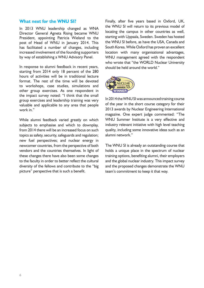#### **What next for the WNU SI?**

In 2013 WNU leadership changed as WNA Director General Agneta Rising became WNU President, appointing Patricia Wieland to the post of Head of WNU in January 2014. This has facilitated a number of changes, including increased involvement of the founding supporters by way of establishing a WNU Advisory Panel.

In response to alumni feedback in recent years, starting from 2014 only 18 percent of the 280 hours of activities will be in traditional lecture format. The rest of the time will be devoted to workshops, case studies, simulations and other group exercises. As one respondent in the impact survey noted: "I think that the small group exercises and leadership training was very valuable and applicable to any area that people work in."

While alumni feedback varied greatly on which subjects to emphasise and which to downplay, from 2014 there will be an increased focus on such topics as safety, security, safeguards and regulation; new fuel perspectives; and nuclear energy in newcomer countries, from the perspective of both vendors and the countries themselves. In light of these changes there have also been some changes to the faculty in order to better reflect the cultural diversity of the fellows and contribute to the "big picture" perspective that is such a benefit.

Finally, after five years based in Oxford, UK, the WNU SI will return to its previous model of locating the campus in other countries as well, starting with Uppsala, Sweden. Sweden has hosted the WNU SI before, as have the USA, Canada and South Korea. While Oxford has proven an excellent location with many organisational advantages, WNU management agreed with the respondent who wrote that "the WORLD Nuclear University should be held around the world."



In 2014 the WNU SI was announced training course of the year in the short course category for their 2013 awards by Nuclear Engineering International magazine. One expert judge commented: "The WNU Summer Institute is a very effective and industry relevant initiative with high level teaching quality, including some innovative ideas such as an alumni network."

The WNU SI is already an outstanding course that holds a unique place in the spectrum of nuclear training options, benefiting alumni, their employers and the global nuclear industry. This impact survey and the proposed changes demonstrate the WNU team's commitment to keep it that way.